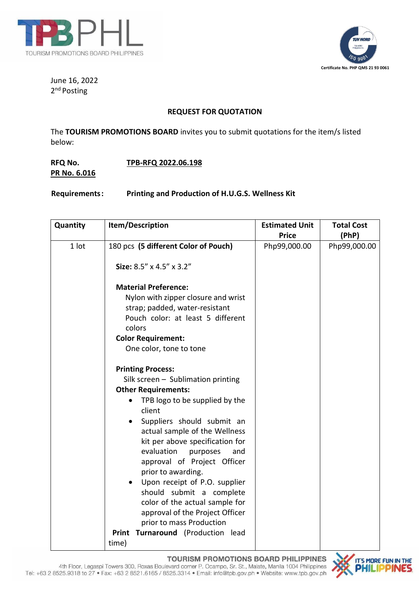



June 16, 2022 2<sup>nd</sup> Posting

### **REQUEST FOR QUOTATION**

The **TOURISM PROMOTIONS BOARD** invites you to submit quotations for the item/s listed below:

## **RFQ No. TPB-RFQ 2022.06.198 PR No. 6.016**

**Requirements: Printing and Production of H.U.G.S. Wellness Kit**

| Quantity | Item/Description                                                                                                                                                                                                                                                                                                                                                                                                                                                                                                                                                                                                        | <b>Estimated Unit</b><br><b>Price</b> | <b>Total Cost</b>     |
|----------|-------------------------------------------------------------------------------------------------------------------------------------------------------------------------------------------------------------------------------------------------------------------------------------------------------------------------------------------------------------------------------------------------------------------------------------------------------------------------------------------------------------------------------------------------------------------------------------------------------------------------|---------------------------------------|-----------------------|
| 1 lot    | 180 pcs (5 different Color of Pouch)<br>Size: 8.5" x 4.5" x 3.2"<br><b>Material Preference:</b><br>Nylon with zipper closure and wrist<br>strap; padded, water-resistant<br>Pouch color: at least 5 different<br>colors                                                                                                                                                                                                                                                                                                                                                                                                 | Php99,000.00                          | (PhP)<br>Php99,000.00 |
|          | <b>Color Requirement:</b><br>One color, tone to tone<br><b>Printing Process:</b><br>Silk screen $-$ Sublimation printing<br><b>Other Requirements:</b><br>TPB logo to be supplied by the<br>client<br>Suppliers should submit an<br>$\bullet$<br>actual sample of the Wellness<br>kit per above specification for<br>evaluation<br>purposes<br>and<br>approval of Project Officer<br>prior to awarding.<br>Upon receipt of P.O. supplier<br>$\bullet$<br>should submit a complete<br>color of the actual sample for<br>approval of the Project Officer<br>prior to mass Production<br>Print Turnaround (Production lead |                                       |                       |
|          | time)                                                                                                                                                                                                                                                                                                                                                                                                                                                                                                                                                                                                                   |                                       |                       |

**TOURISM PROMOTIONS BOARD PHILIPPINES** 

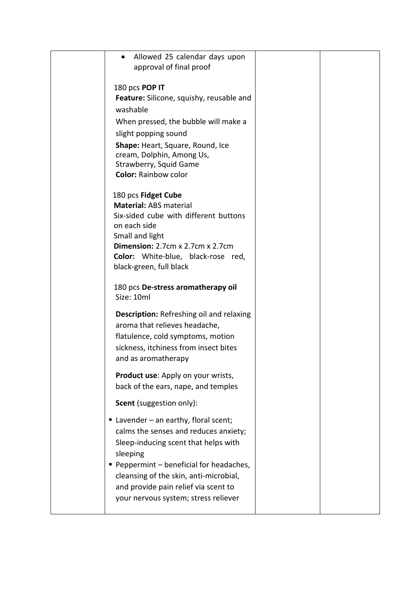| Allowed 25 calendar days upon                                          |  |
|------------------------------------------------------------------------|--|
| approval of final proof                                                |  |
| 180 pcs POP IT                                                         |  |
| Feature: Silicone, squishy, reusable and                               |  |
| washable                                                               |  |
| When pressed, the bubble will make a                                   |  |
| slight popping sound                                                   |  |
| Shape: Heart, Square, Round, Ice                                       |  |
| cream, Dolphin, Among Us,                                              |  |
| Strawberry, Squid Game                                                 |  |
| <b>Color: Rainbow color</b>                                            |  |
| 180 pcs Fidget Cube                                                    |  |
| <b>Material: ABS material</b>                                          |  |
| Six-sided cube with different buttons                                  |  |
| on each side                                                           |  |
| Small and light<br><b>Dimension:</b> $2.7cm \times 2.7cm \times 2.7cm$ |  |
| Color: White-blue, black-rose red,                                     |  |
| black-green, full black                                                |  |
|                                                                        |  |
| 180 pcs De-stress aromatherapy oil                                     |  |
| Size: 10ml                                                             |  |
| <b>Description:</b> Refreshing oil and relaxing                        |  |
| aroma that relieves headache,                                          |  |
| flatulence, cold symptoms, motion                                      |  |
| sickness, itchiness from insect bites                                  |  |
| and as aromatherapy                                                    |  |
| Product use: Apply on your wrists,                                     |  |
| back of the ears, nape, and temples                                    |  |
| <b>Scent</b> (suggestion only):                                        |  |
| Lavender - an earthy, floral scent;                                    |  |
| calms the senses and reduces anxiety;                                  |  |
| Sleep-inducing scent that helps with                                   |  |
| sleeping                                                               |  |
| ■ Peppermint – beneficial for headaches,                               |  |
| cleansing of the skin, anti-microbial,                                 |  |
| and provide pain relief via scent to                                   |  |
| your nervous system; stress reliever                                   |  |
|                                                                        |  |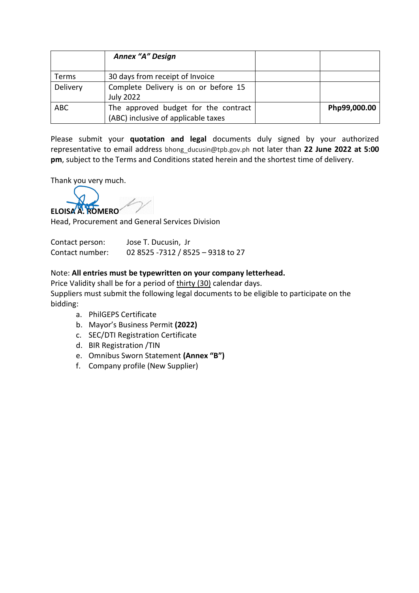|            | <b>Annex "A" Design</b>                                                     |              |
|------------|-----------------------------------------------------------------------------|--------------|
| Terms      | 30 days from receipt of Invoice                                             |              |
| Delivery   | Complete Delivery is on or before 15<br><b>July 2022</b>                    |              |
| <b>ABC</b> | The approved budget for the contract<br>(ABC) inclusive of applicable taxes | Php99,000.00 |

Please submit your **quotation and legal** documents duly signed by your authorized representative to email address bhong\_ducusin@tpb.gov.ph not later than **22 June 2022 at 5:00 pm**, subject to the Terms and Conditions stated herein and the shortest time of delivery.

Thank you very much.

**ELOISA A. ROMERO**

Head, Procurement and General Services Division

Contact person: Jose T. Ducusin, Jr Contact number: 02 8525 -7312 / 8525 – 9318 to 27

### Note: **All entries must be typewritten on your company letterhead.**

Price Validity shall be for a period of thirty (30) calendar days. Suppliers must submit the following legal documents to be eligible to participate on the bidding:

- a. PhilGEPS Certificate
- b. Mayor's Business Permit **(2022)**
- c. SEC/DTI Registration Certificate
- d. BIR Registration /TIN
- e. Omnibus Sworn Statement **(Annex "B")**
- f. Company profile (New Supplier)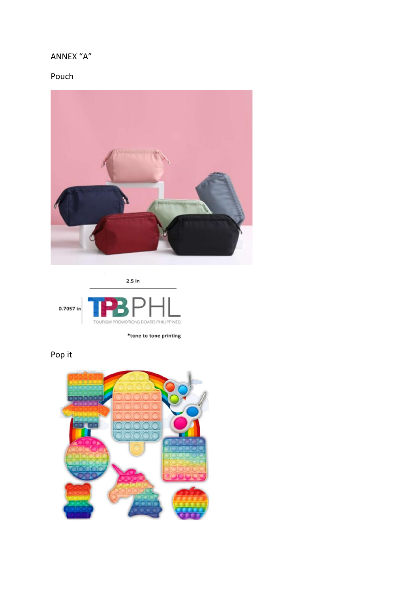### ANNEX "A"

## Pouch





# Pop it

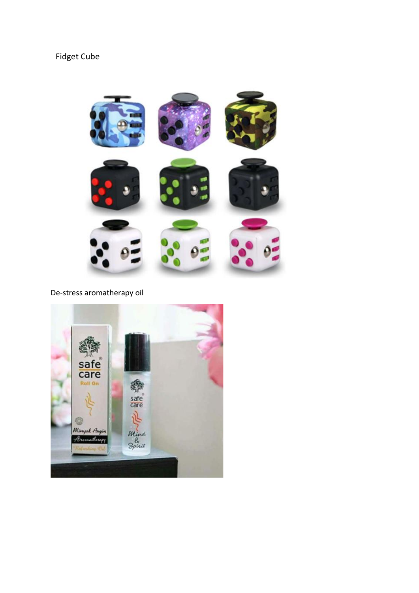## Fidget Cube



De-stress aromatherapy oil

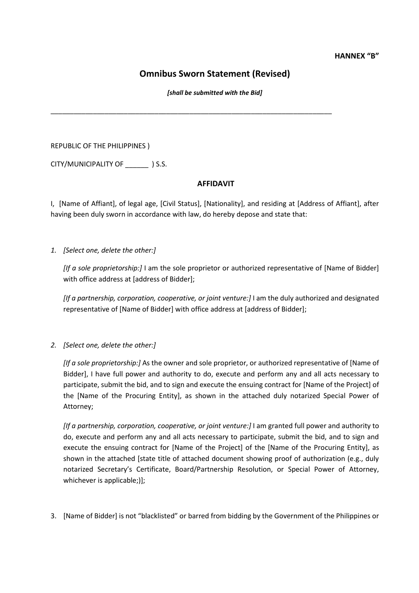#### **HANNEX "B"**

### **Omnibus Sworn Statement (Revised)**

*[shall be submitted with the Bid]*

\_\_\_\_\_\_\_\_\_\_\_\_\_\_\_\_\_\_\_\_\_\_\_\_\_\_\_\_\_\_\_\_\_\_\_\_\_\_\_\_\_\_\_\_\_\_\_\_\_\_\_\_\_\_\_\_\_\_\_\_\_\_\_\_\_\_\_\_\_\_\_\_\_

REPUBLIC OF THE PHILIPPINES )

CITY/MUNICIPALITY OF \_\_\_\_\_\_ ) S.S.

### **AFFIDAVIT**

I, [Name of Affiant], of legal age, [Civil Status], [Nationality], and residing at [Address of Affiant], after having been duly sworn in accordance with law, do hereby depose and state that:

*1. [Select one, delete the other:]*

*[If a sole proprietorship:]* I am the sole proprietor or authorized representative of [Name of Bidder] with office address at [address of Bidder];

*[If a partnership, corporation, cooperative, or joint venture:]* I am the duly authorized and designated representative of [Name of Bidder] with office address at [address of Bidder];

*2. [Select one, delete the other:]*

*[If a sole proprietorship:]* As the owner and sole proprietor, or authorized representative of [Name of Bidder], I have full power and authority to do, execute and perform any and all acts necessary to participate, submit the bid, and to sign and execute the ensuing contract for [Name of the Project] of the [Name of the Procuring Entity], as shown in the attached duly notarized Special Power of Attorney;

*[If a partnership, corporation, cooperative, or joint venture:]* I am granted full power and authority to do, execute and perform any and all acts necessary to participate, submit the bid, and to sign and execute the ensuing contract for [Name of the Project] of the [Name of the Procuring Entity], as shown in the attached [state title of attached document showing proof of authorization (e.g., duly notarized Secretary's Certificate, Board/Partnership Resolution, or Special Power of Attorney, whichever is applicable;)];

3. [Name of Bidder] is not "blacklisted" or barred from bidding by the Government of the Philippines or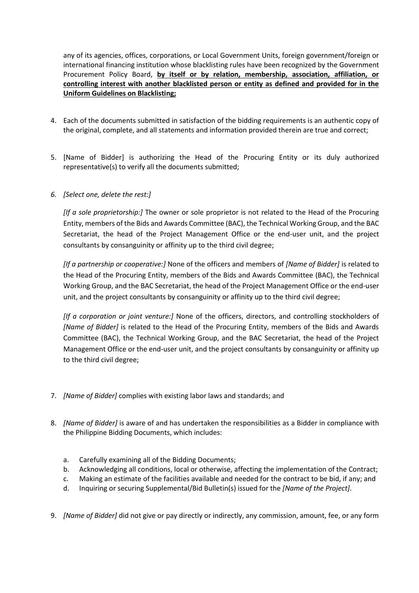any of its agencies, offices, corporations, or Local Government Units, foreign government/foreign or international financing institution whose blacklisting rules have been recognized by the Government Procurement Policy Board, **by itself or by relation, membership, association, affiliation, or controlling interest with another blacklisted person or entity as defined and provided for in the Uniform Guidelines on Blacklisting;**

- 4. Each of the documents submitted in satisfaction of the bidding requirements is an authentic copy of the original, complete, and all statements and information provided therein are true and correct;
- 5. [Name of Bidder] is authorizing the Head of the Procuring Entity or its duly authorized representative(s) to verify all the documents submitted;
- *6. [Select one, delete the rest:]*

*[If a sole proprietorship:]* The owner or sole proprietor is not related to the Head of the Procuring Entity, members of the Bids and Awards Committee (BAC), the Technical Working Group, and the BAC Secretariat, the head of the Project Management Office or the end-user unit, and the project consultants by consanguinity or affinity up to the third civil degree;

*[If a partnership or cooperative:]* None of the officers and members of *[Name of Bidder]* is related to the Head of the Procuring Entity, members of the Bids and Awards Committee (BAC), the Technical Working Group, and the BAC Secretariat, the head of the Project Management Office or the end-user unit, and the project consultants by consanguinity or affinity up to the third civil degree;

*[If a corporation or joint venture:]* None of the officers, directors, and controlling stockholders of *[Name of Bidder]* is related to the Head of the Procuring Entity, members of the Bids and Awards Committee (BAC), the Technical Working Group, and the BAC Secretariat, the head of the Project Management Office or the end-user unit, and the project consultants by consanguinity or affinity up to the third civil degree;

- 7. *[Name of Bidder]* complies with existing labor laws and standards; and
- 8. *[Name of Bidder]* is aware of and has undertaken the responsibilities as a Bidder in compliance with the Philippine Bidding Documents, which includes:
	- a. Carefully examining all of the Bidding Documents;
	- b. Acknowledging all conditions, local or otherwise, affecting the implementation of the Contract;
	- c. Making an estimate of the facilities available and needed for the contract to be bid, if any; and
	- d. Inquiring or securing Supplemental/Bid Bulletin(s) issued for the *[Name of the Project]*.
- 9. *[Name of Bidder]* did not give or pay directly or indirectly, any commission, amount, fee, or any form